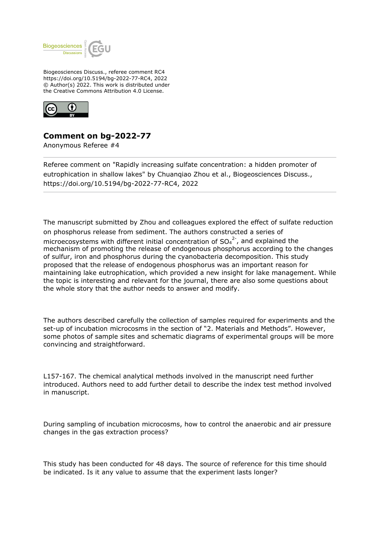

Biogeosciences Discuss., referee comment RC4 https://doi.org/10.5194/bg-2022-77-RC4, 2022 © Author(s) 2022. This work is distributed under the Creative Commons Attribution 4.0 License.



## **Comment on bg-2022-77**

Anonymous Referee #4

Referee comment on "Rapidly increasing sulfate concentration: a hidden promoter of eutrophication in shallow lakes" by Chuanqiao Zhou et al., Biogeosciences Discuss., https://doi.org/10.5194/bg-2022-77-RC4, 2022

The manuscript submitted by Zhou and colleagues explored the effect of sulfate reduction on phosphorus release from sediment. The authors constructed a series of microecosystems with different initial concentration of  $SO_4^2$ , and explained the mechanism of promoting the release of endogenous phosphorus according to the changes of sulfur, iron and phosphorus during the cyanobacteria decomposition. This study proposed that the release of endogenous phosphorus was an important reason for maintaining lake eutrophication, which provided a new insight for lake management. While the topic is interesting and relevant for the journal, there are also some questions about the whole story that the author needs to answer and modify.

The authors described carefully the collection of samples required for experiments and the set-up of incubation microcosms in the section of "2. Materials and Methods". However, some photos of sample sites and schematic diagrams of experimental groups will be more convincing and straightforward.

L157-167. The chemical analytical methods involved in the manuscript need further introduced. Authors need to add further detail to describe the index test method involved in manuscript.

During sampling of incubation microcosms, how to control the anaerobic and air pressure changes in the gas extraction process?

This study has been conducted for 48 days. The source of reference for this time should be indicated. Is it any value to assume that the experiment lasts longer?